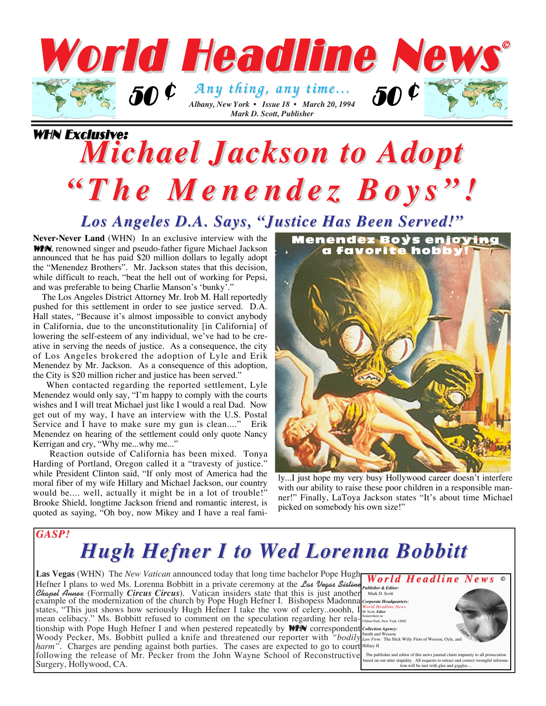

### WHN Exclusive: *Michael Jackson to Adopt Michael Jackson to Adopt "The Menendez Boys"! "The Menendez Boys"!*

#### *Los Angeles D.A. Says, "Justice Has Been Served!" Los Angeles D.A. Says, "Justice Has Been Served!"*

**Never-Never Land** (WHN) In an exclusive interview with the WHN, renowned singer and pseudo-father figure Michael Jackson announced that he has paid \$20 million dollars to legally adopt the "Menendez Brothers". Mr. Jackson states that this decision, while difficult to reach, "beat the hell out of working for Pepsi, and was preferable to being Charlie Manson's 'bunky'.

The Los Angeles District Attorney Mr. Irob M. Hall reportedly pushed for this settlement in order to see justice served. D.A. Hall states, "Because it's almost impossible to convict anybody in California, due to the unconstitutionality [in California] of lowering the self-esteem of any individual, we've had to be creative in serving the needs of justice. As a consequence, the city of Los Angeles brokered the adoption of Lyle and Erik Menendez by Mr. Jackson. As a consequence of this adoption, the City is \$20 million richer and justice has been served."

When contacted regarding the reported settlement, Lyle Menendez would only say, "I'm happy to comply with the courts wishes and I will treat Michael just like I would a real Dad. Now get out of my way, I have an interview with the U.S. Postal Service and I have to make sure my gun is clean...." Erik Menendez on hearing of the settlement could only quote Nancy Kerrigan and cry, "Why me...why me..."

Reaction outside of California has been mixed. Tonya Harding of Portland, Oregon called it a "travesty of justice." while President Clinton said, "If only most of America had the moral fiber of my wife Hillary and Michael Jackson, our country would be.... well, actually it might be in a lot of trouble!" Brooke Shield, longtime Jackson friend and romantic interest, is quoted as saying, "Oh boy, now Mikey and I have a real fami-



ly...I just hope my very busy Hollywood career doesn't interfere with our ability to raise these poor children in a responsible manner!" Finally, LaToya Jackson states "It's about time Michael picked on somebody his own size!"

#### *GASP!*

## **Hugh Hefner I to Wed Lorenna Bobbitt**

| <b>Las Vegas</b> (WHN) The <i>New Vatican</i> announced today that long time bachelor Pope Hugh <b>World Headline News</b> $\circ$ Hefner I plans to wed Ms. Lorenna Bobbitt in a private ceremony at the <i>Las Vegas Sistine</i> expansioner & Edi |                                                                                                                               |
|------------------------------------------------------------------------------------------------------------------------------------------------------------------------------------------------------------------------------------------------------|-------------------------------------------------------------------------------------------------------------------------------|
|                                                                                                                                                                                                                                                      |                                                                                                                               |
| <i>Chapel Annex</i> (Formally <i>Circus Circus</i> ). Vatican insiders state that this is just another <i>Mark D. Scott</i><br>example of the modernization of the church by Pope Hugh Hefner I. Bishopess Madonna <i>corporate Headquarters</i> :   |                                                                                                                               |
| states, "This just shows how seriously Hugh Hefner I take the vow of celeryooohh, I What Son Edition News                                                                                                                                            |                                                                                                                               |
| mean celibacy." Ms. Bobbitt refused to comment on the speculation regarding her rela- $\frac{\text{Somender line in } \text{Criton } \text{Pank. New York 12065}}{\text{Criton } \text{Pank. New York 12065}}$                                       |                                                                                                                               |
| tionship with Pope Hugh Hefner I and when pestered repeatedly by <b>WHN</b> correspondent Collection Agency:                                                                                                                                         |                                                                                                                               |
| Woody Pecker, Ms. Bobbitt pulled a knife and threatened our reporter with "bodily $\int_{Law}^{Smith and Wesson}$ Firm: The Slick Willy Firm of Wesson, Oyle, and                                                                                    | Jeffor                                                                                                                        |
| <i>harm</i> ". Charges are pending against both parties. The cases are expected to go to court Hillary II                                                                                                                                            |                                                                                                                               |
| following the release of Mr. Pecker from the John Wayne School of Reconstructive The publisher and editor of this news journal claim impunity to all prosecution                                                                                     |                                                                                                                               |
| Surgery, Hollywood, CA.                                                                                                                                                                                                                              | based on our utter stupidity. All requests to retract and correct wrongful informa-<br>tion will be met with glee and giggles |
|                                                                                                                                                                                                                                                      |                                                                                                                               |